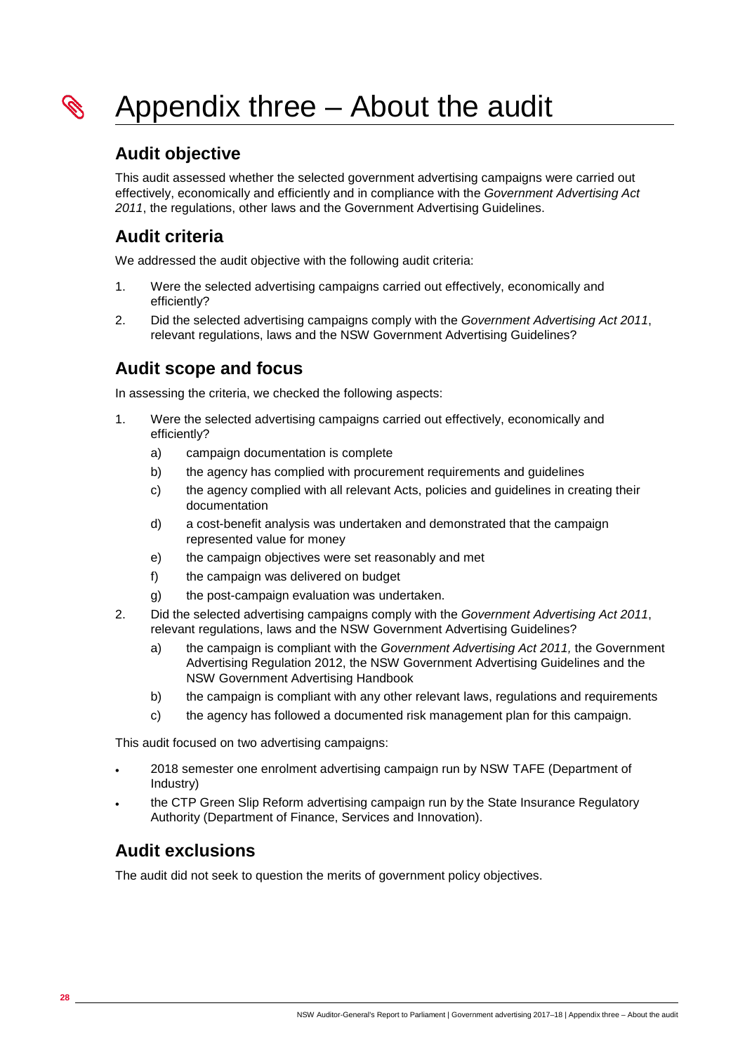

### **Audit objective**

This audit assessed whether the selected government advertising campaigns were carried out effectively, economically and efficiently and in compliance with the *Government Advertising Act 2011*, the regulations, other laws and the Government Advertising Guidelines.

## **Audit criteria**

We addressed the audit objective with the following audit criteria:

- 1. Were the selected advertising campaigns carried out effectively, economically and efficiently?
- 2. Did the selected advertising campaigns comply with the *Government Advertising Act 2011*, relevant regulations, laws and the NSW Government Advertising Guidelines?

## **Audit scope and focus**

In assessing the criteria, we checked the following aspects:

- 1. Were the selected advertising campaigns carried out effectively, economically and efficiently?
	- a) campaign documentation is complete
	- b) the agency has complied with procurement requirements and guidelines
	- c) the agency complied with all relevant Acts, policies and guidelines in creating their documentation
	- d) a cost-benefit analysis was undertaken and demonstrated that the campaign represented value for money
	- e) the campaign objectives were set reasonably and met
	- f) the campaign was delivered on budget
	- g) the post-campaign evaluation was undertaken.
- 2. Did the selected advertising campaigns comply with the *Government Advertising Act 2011*, relevant regulations, laws and the NSW Government Advertising Guidelines?
	- a) the campaign is compliant with the *Government Advertising Act 2011,* the Government Advertising Regulation 2012, the NSW Government Advertising Guidelines and the NSW Government Advertising Handbook
	- b) the campaign is compliant with any other relevant laws, regulations and requirements
	- c) the agency has followed a documented risk management plan for this campaign.

This audit focused on two advertising campaigns:

- 2018 semester one enrolment advertising campaign run by NSW TAFE (Department of Industry)
- the CTP Green Slip Reform advertising campaign run by the State Insurance Regulatory Authority (Department of Finance, Services and Innovation).

## **Audit exclusions**

The audit did not seek to question the merits of government policy objectives.